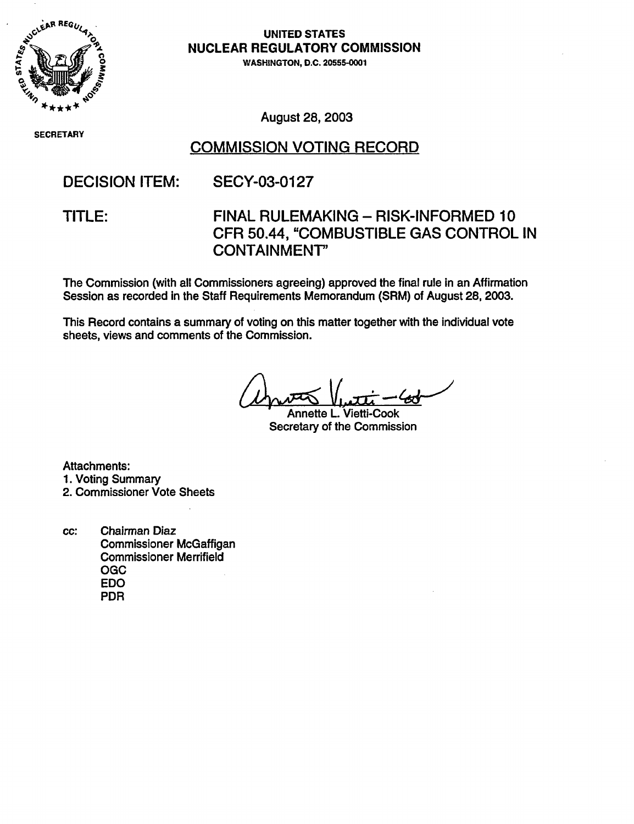

SECRETARY

UNITED STATES **NUCLEAR REGULATORY COMMISSION** WASHINGTON, D.C. **20555-000**

August 28, 2003

# COMMISSION VOTING RECORD

DECISION ITEM: SECY-03-0127

### TITLE: FINAL RULEMAKING - RISK-INFORMED 10 CFR 50.44, "COMBUSTIBLE GAS CONTROL IN CONTAINMENT'

The Commission (with all Commissioners agreeing) approved the final rule in an Affirmation Session as recorded in the Staff Requirements Memorandum (SRM) of August 28, 2003.

This Record contains a summary of voting on this matter together with the individual vote sheets, views and comments of the Commission.

Annette L. Vietti-Cook Secretary of the Commission

Attachments: 1. Voting Summary 2. Commissioner Vote Sheets

cc: Chairman Diaz Commissioner McGaffigan Commissioner Merrifield OGC EDO PDR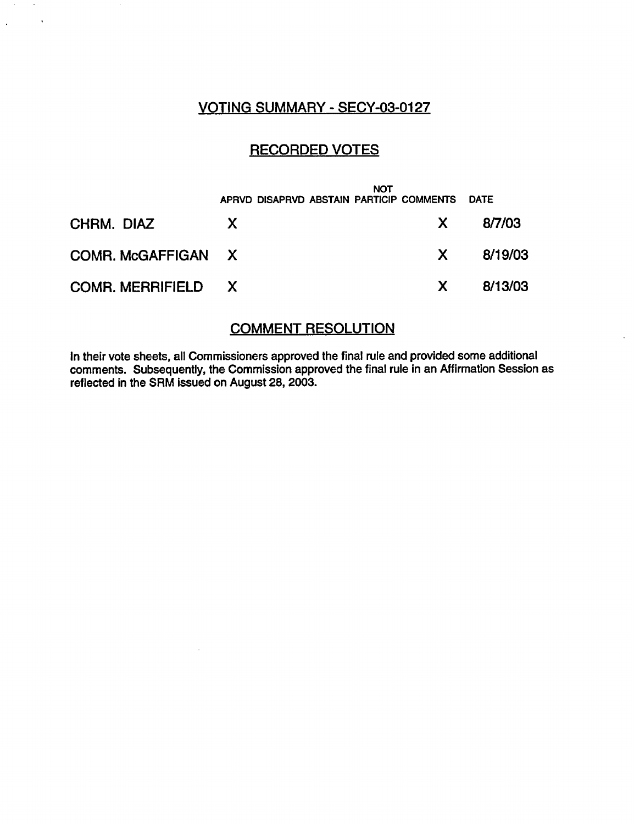### VOTING SUMMARY - SECY-03-0127

 $\mathcal{A}$ 

 $\mathcal{L}$ 

# RECORDED VOTES

|                    |    | <b>NOT</b><br>APRVD DISAPRVD ABSTAIN PARTICIP COMMENTS |     | <b>DATE</b> |
|--------------------|----|--------------------------------------------------------|-----|-------------|
| CHRM. DIAZ         | X. |                                                        | X.  | 8/7/03      |
| COMR. McGAFFIGAN X |    |                                                        | X — | 8/19/03     |
| COMR. MERRIFIELD X |    |                                                        | X.  | 8/13/03     |

#### COMMENT RESOLUTION

In their vote sheets, all Commissioners approved the final rule and provided some additional comments. Subsequently, the Commission approved the final rule in an Affirmation Session as reflected in the SRM issued on August 28, 2003.

 $\sim$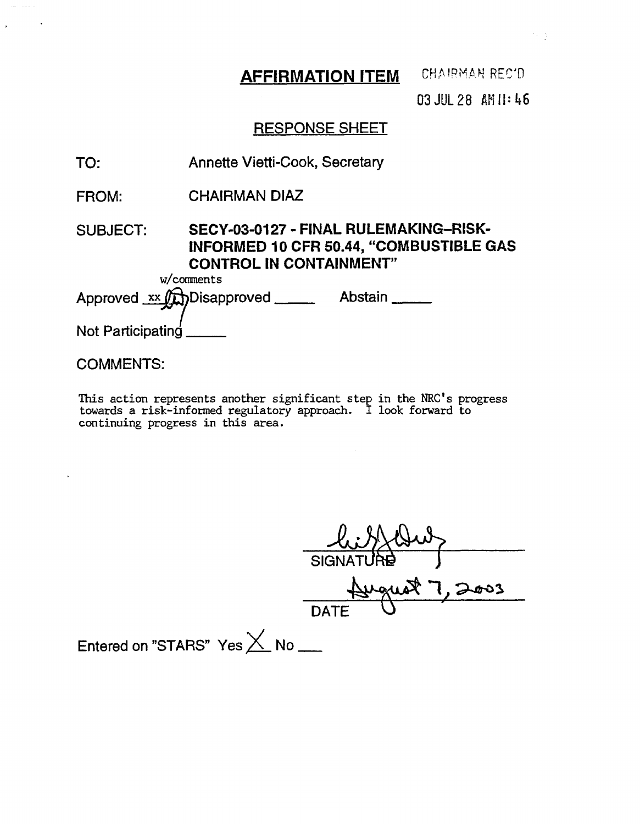**AFFIRMATION ITEM CHAIRMAN REC'D** 

03 JUL 28 A II: 46

# RESPONSE SHEET

- TO: Annette Vietti-Cook, Secretary
- FROM: CHAIRMAN DIAZ

### SUBJECT: **SECY-03-0127** - **FINAL RULEMAKING-RISK-INFORMED 10 CFR 50.44, "COMBUSTIBLE GAS CONTROL IN CONTAINMENT"**

w/comments

Approved xx (h) Disapproved \_\_\_\_\_\_\_\_ Abstain \_\_\_\_\_\_

Not Participating

#### COMMENTS:

المستحيلة

 $\ddot{\phantom{a}}$ 

This action represents another significant step in the NRC's progress towards a risk-informed regulatory approach. I look forward to continuing progress in this area.

*A*  $\mathbf{I}$   $\mathbf{I}$   $\mathbf{I}$   $\mathbf{I}$  $DATE$ 

Entered on "STARS" Yes  $\times$  No  $-$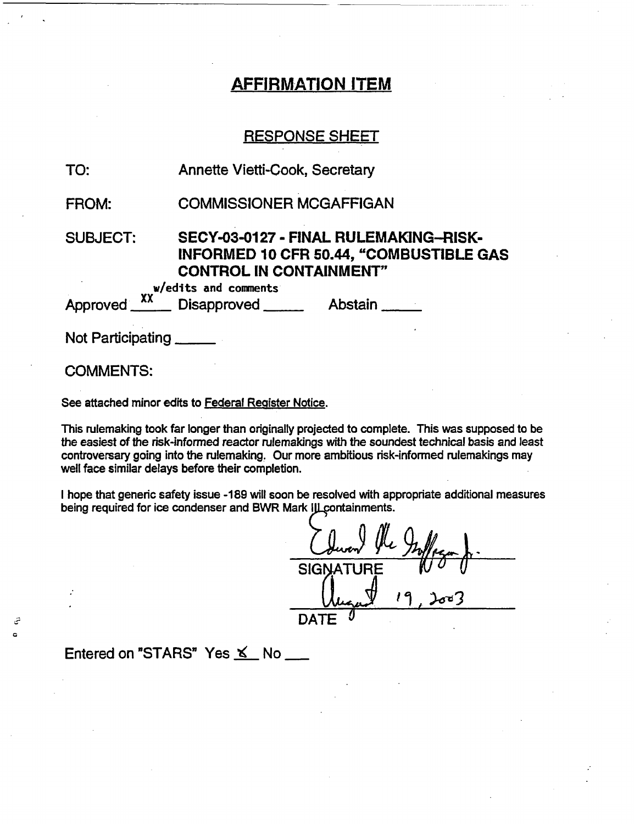## AFFIRMATION ITEM

#### RESPONSE SHEET

| TO:                       | <b>Annette Vietti-Cook, Secretary</b>                                                                                                              |  |  |
|---------------------------|----------------------------------------------------------------------------------------------------------------------------------------------------|--|--|
| FROM:                     | <b>COMMISSIONER MCGAFFIGAN</b>                                                                                                                     |  |  |
| <b>SUBJECT:</b>           | SECY-03-0127 - FINAL RULEMAKING--RISK-<br><b>INFORMED 10 CFR 50.44, "COMBUSTIBLE GAS</b><br><b>CONTROL IN CONTAINMENT"</b><br>w/edits and comments |  |  |
|                           | Approved XX Disapproved Abstain                                                                                                                    |  |  |
| Not Participating _______ |                                                                                                                                                    |  |  |
| <b>COMMENTS:</b>          |                                                                                                                                                    |  |  |

See attached minor edits to Federal Register Notice.

This rulemaking took far longer than originally projected to complete. This was supposed to be the easiest of the risk-informed reactor rulemakings with the soundest technical basis and least controversary going into the rulemaking. Our more ambitious risk-informed rulemakings may well face similar delays before their completion.

I hope that generic safety issue -189 will soon be resolved with appropriate additional measures being required for ice condenser and BWR Mark III containments.

SIGNA<sup>-</sup> DATE <u>- vaque 1</u>

Entered on "STARS" Yes  $K$  No  $\_\_\_\$ 

تئ  $\alpha$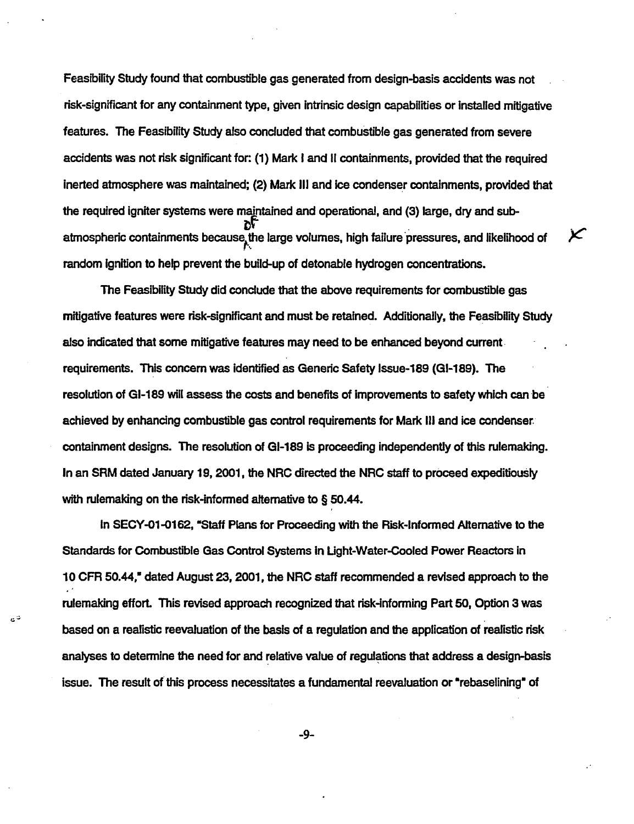Feasibility Study found that combustible gas generated from design-basis accidents was not risk-significant for any containment type, given intrinsic design capabilities or Installed mitigative features. The Feasibility Study also concluded that combustible gas generated from severe accidents was not risk significant for: (1) Mark I and II containments, provided that the required inerted atmosphere was maintained; (2) Mark III and ice condenser containments, provided that the required igniter systems were maintained and operational, and (3) large, dry and subatmospheric containments because the large volumes, high failure pressures, and likelihood of random gnition to help prevent the build-up of detonable hydrogen concentrations.

K

The Feasibility Study did conclude that the above requirements for combustible gas mitigative features were risk-significant and must be retained. Additionally, the Feasibility Study also indicated that some mitigative features may need to be enhanced beyond current requirements. This concern was identified as Generic Safety Issue-189 (GI-189). The resolution of GI-189 will assess the costs and benefits of improvements to safety which can be achieved by enhancing combustible gas control requirements for Mark III and ice condenser. containment designs. The resolution of GI-189 is proceeding independently of this rulemaking. In an SRM dated January 19, 2001, the NRC directed the NRC staff to proceed expeditiously with rulemaking on the risk-informed alternative to § 50.44.

In SECY-01-0162, "Staff Plans for Proceeding with the Risk-Informed Alternative to the Standards for Combustible Gas Control Systems in Light-Water-Cooled Power Reactors in 10 CFR 50.44," dated August 23, 2001, the NRC staff recommended a revised approach to the rulemaking effort. This revised approach recognized that risk-Informing Part 50, Option 3 was based on a realistic reevaluation of the basis of a regulation and the application of realistic risk analyses to determine the need for and relative value of regulations that address a design-basis issue. The result of this process necessitates a fundamental reevaluation or "rebaselining" of

تاج

-9-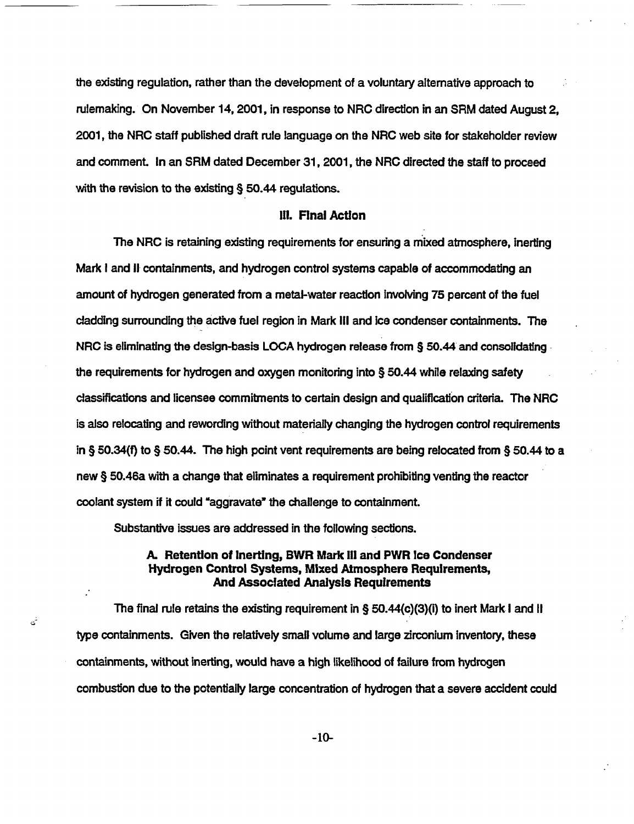the existing regulation, rather than the development of a voluntary alternative approach to rulemaking. On November 14, 2001, in response to NRC direction in an SRM dated August 2, 2001, the NRC staff published draft rule language on the NRC web site for stakeholder review and comment. In an SRM dated December 31, 2001, the NRC directed the staff to proceed with the revision to the existing § 50.44 regulations.

#### Ill. Final Actlon

The NRC is retaining existing requirements for ensuring a mixed atmosphere, Inerting Mark I and 11 containments, and hydrogen control systems capable of accommodating an amount of hydrogen generated from a metal-water reaction nvolving 75 percent of the fuel cladding surrounding the active fuel region in Mark III and ice condenser containments. The NRC is eliminating the design-basis LOCA hydrogen release from § 50.44 and consolidating the requirements for hydrogen and oxygen monitoring into § 50.44 while relaxing safety classifications and licensee commitments to certain design and qualification criteria. The NRC is also relocating and rewording without materially changing the hydrogen control requirements in § 50.34(f) to § 50.44. The high point vent requirements are being relocated from § 50.44 to a new § 50.46a with a change that eliminates a requirement prohibiting venting the reactor coolant system if it could "aggravate" the challenge to containment.

Substantive issues are addressed in the following sections.

تی

#### A. Retention of Inerting, BWR Mark III and PWR Ice Condenser Hydrogen Control Systems, Mixed Atmosphere Requirements, And Associated Analysis Requirements

The final rule retains the existing requirement in § 50.44(c)(3)(i) to inert Mark I and 11 type containments. Given the relatively small volume and large zirconium inventory, these containments, without nerting, would have a high likelihood of failure from hydrogen combustion due to the potentially large concentration of hydrogen that a severe accident could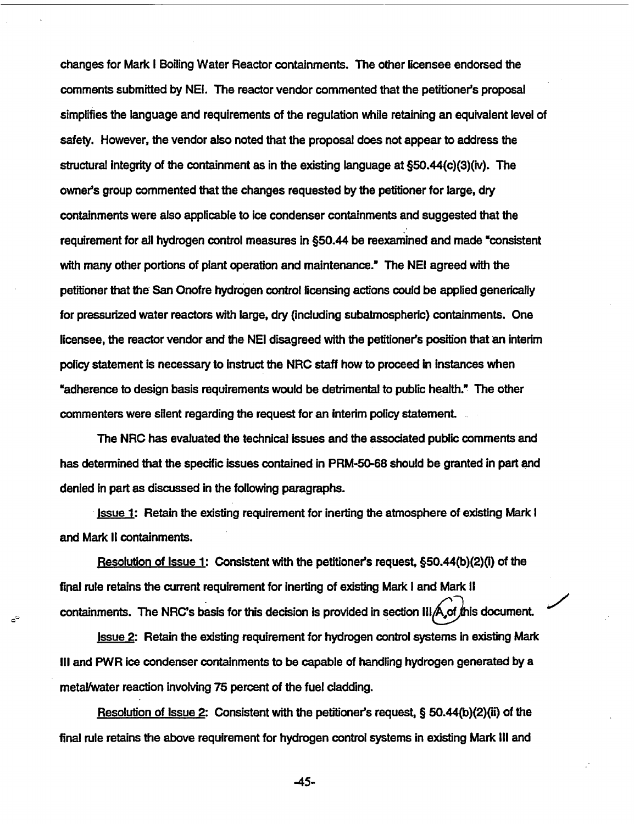changes for Mark I Boiling Water Reactor containments. The other licensee endorsed the comments submitted by NEI. The reactor vendor commented that the petitioner's proposal simplifies the language and requirements of the regulation while retaining an equivalent level of safety. However, the vendor also noted that the proposal does not appear to address the structural Integrity of the containment as in the existing language at §50.44(c)(3)(iv). The owner's group commented that the changes requested by the petitioner for large, dry containments were also applicable to ice condenser containments and suggested that the requirement for all hydrogen control measures in §50.44 be reexamined and made "consistent with many other portions of plant operation and maintenance." The NEI agreed with the petitioner that the San Onofre hydrogen control licensing actions could be applied generically for pressurized water reactors with large, dry (including subatmospheric) containments. One licensee, the reactor vendor and the NEI disagreed with the petitioners position that an interim policy statement is necessary to instruct the NRC staff how to proceed in instances when "adherence to design basis requirements would be detrimental to public health." The other commenters were silent regarding the request for an interim policy statement.

The NRC has evaluated the technical issues and the associated public comments and has determined that the specific Issues contained in PRM-50-68 should be granted in part and denied in part as discussed in the following paragraphs.

Issue 1: Retain the existing requirement for inerting the atmosphere of existing Mark I and Mark II containments.

Resolution of Issue 1: Consistent with the petitioner's request, §50.44(b)(2)(i) of the final rule retains the current requirement for inerting of existing Mark I and Mark II containments. The NRC's basis for this decision is provided in section III $\bigtriangleup$  of this document.

نثير

Issue 2: Retain the existing requirement for hydrogen control systems in existing Mark Ill and PWR ice condenser containments to be capable of handling hydrogen generated by a metallwater reaction involving 75 percent of the fuel cladding.

Resolution of Issue 2: Consistent with the petitioners request, § 50.44(b)(2)(ii) of the final rule retains the above requirement for hydrogen control systems in existing Mark IlIl and

-45-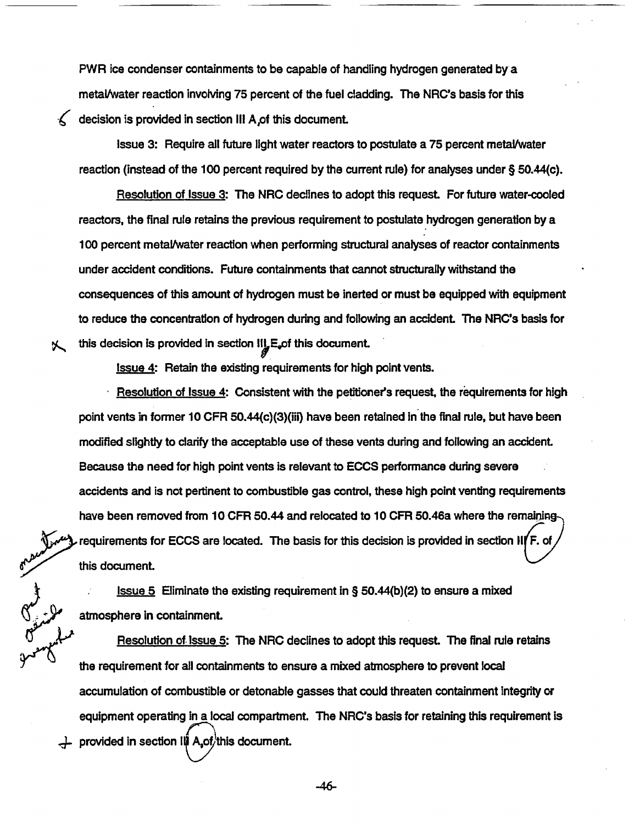PWR ice condenser containments to be capable of handling hydrogen generated by a metal/water reaction invoking 75 percent of the fuel cladding. The NRC's basis for this decision is provided in section III A of this document.

Issue 3: Require all future light water reactors to postulate a 75 percent metal/water reaction (instead of the 100 percent required by the current rule) for analyses under § 50.44(c).

Resolution of Issue 3: The NRC declines to adopt this request For future water-cooled reactors, the final rule retains the previous requirement to postulate hydrogen generation by a 100 percent metal/water reaction when performing structural analyses of reactor containments under accident conditions. Future containments that cannot structurally withstand the consequences of this amount of hydrogen must be inerted or must be equipped with equipment to reduce the concentration of hydrogen during and following an accident. The NRC's basis for this decision is provided in section  $II_{\mu}E_{\nu}$  of this document.

Issue 4: Retain the existing requirements for high point vents.

乀

Resolution of Issue  $4$ : Consistent with the petitioner's request, the requirements for high point vents in former 10 CFR 50.44(c)(3)(iii) have been retained in the final rule, but have been modified slightly to clarify the acceptable use of these vents during and following an accident. Because the need for high point vents is relevant to ECCS performance during severe accidents and is not pertinent to combustible gas control, these high point venting requirements have been removed from 10 CFR 50.44 and relocated to 10 CFR 50.46a where the remainingrequirements for ECCS are located. The basis for this decision is provided in section II(F. of this document.

Issue 5 Eliminate the existing requirement in § 50.44(b)(2) to ensure a mixed , atmosphere in containment.

Resolution of Issue 5: The NRC declines to adopt this request. The final rule retains the requirement for all containments to ensure a mixed atmosphere to prevent local accumulation of combustible or detonable gasses that could threaten containment integrity or equipment operating in a local compartment. The NRC's basis for retaining this requirement is  $\perp$  provided in section III A<sub>s</sub>of/this document.

-46-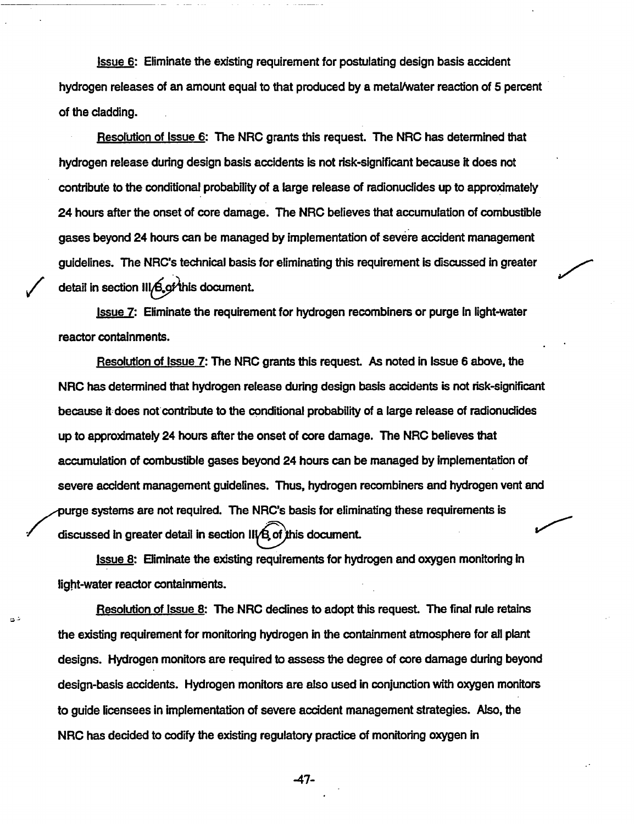Issue 6: Eliminate the existing requirement for postulating design basis accident hydrogen releases of an amount equal to that produced by a metal/water reaction of 5 percent of the cladding.

Resolution of Issue 6: The NRC grants this request. The NRC has determined that hydrogen release during design basis accidents is not risk-significant because it does not contribute to the conditional probability of a large release of radionuclides up to approximately 24 hours after the onset of core damage. The NRC believes that accumulation of combustible gases beyond 24 hours can be managed by implementation of severe accident management guidelines. The NRC's technical basis for eliminating this requirement is discussed in greater detail in section  $III/G$  of this document.

Issue 7: Eliminate the requirement for hydrogen recombiners or purge In light-water reactor containments.

Resolution of Issue 7: The NRC grants this request. As noted in Issue 6 above, the NRC has determined that hydrogen release during design basis accidents is not risk-significant because it does not contribute to the conditional probability of a large release of radionuclides up to approximately 24 hours after the onset of core damage. The NRC believes that accumulation of combustible gases beyond 24 hours can be managed by implementation of severe accident management guidelines. Thus, hydrogen recombiners and hydrogen vent and purge systems are not required. The NRC's basis for eliminating these requirements is discussed in greater detail in section  $II / B$  of this document.

Issue 8: Eliminate the existing requirements for hydrogen and oxygen monitoring In light-water reactor containments.

دای

Resolution of Issue 8: The NRC declines to adopt this request. The final rule retains the existing requirement for monitoring hydrogen in the containment atmosphere for all plant designs. Hydrogen monitors are required to assess the degree of core damage during beyond design-basis accidents. Hydrogen monitors are also used in conjunction with oxygen monitors to guide licensees in implementation of severe accident management strategies. Also, the NRC has decided to codify the existing regulatory practice of monitoring oxygen in

-47-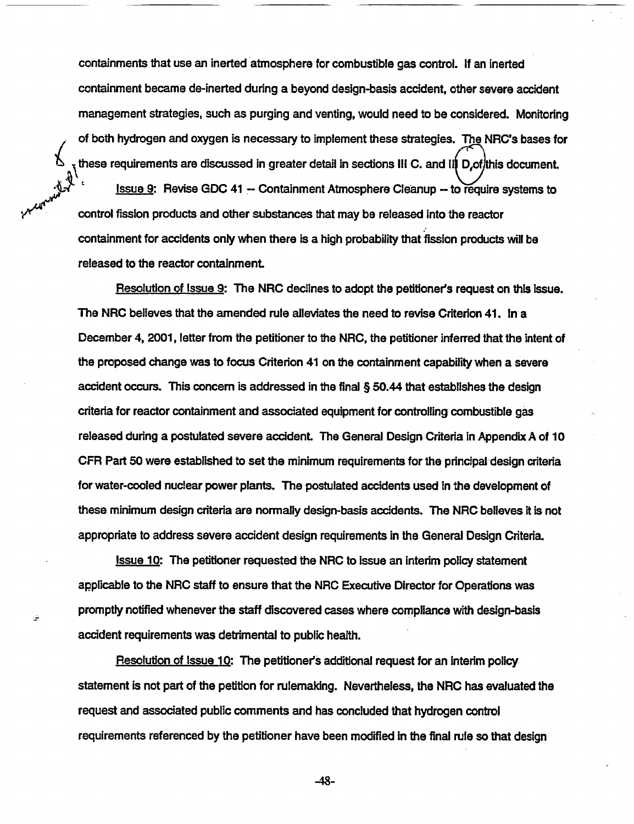containments that use an inerted atmosphere for combustible gas control. If an inerted containment became de-inerted during a beyond design-basis accident, other severe accident management strategies, such as purging and venting, would need to be considered. Monitoring of both hydrogen and oxygen is necessary to implement these strategies. The NRC's bases for these requirements are discussed in greater detail in sections III C. and III D, of this document. Issue 9: Revise GDC 41 - Containment Atmosphere Cleanup - to require systems to control fission products and other substances that may be released into the reactor containment for accidents only when there is a high probability that fission products will be released to the reactor containment.

Resolution of Issue 9: The NRC declines to adopt the petitioner's request on this issue. The NRC believes that the amended rule alleviates the need to revise Criterion 41. In a December 4, 2001, letter from the petitioner to the NRC, the petitioner inferred that the intent of the proposed change was to focus Criterion 41 on the containment capability when a severe accident occurs. This concern is addressed in the final § 50.44 that establishes the design criteria for reactor containment and associated equipment for controlling combustible gas released during a postulated severe accident. The General Design Criteria in Appendix A of 10 CFR Part 50 were established to set the minimum requirements for the principal-design criteria for water-cooled nuclear power plants. The postulated accidents used In the development of these minimum design criteria are normally design-basis accidents. The NRC believes it is not appropriate to address severe accident design requirements in the General Design Criteria.

Issue 10: The petitioner requested the NRC to issue an interim policy statement applicable to the NRC staff to ensure that the NRC Executive Director for Operations was promptly notified whenever the staff discovered cases where compliance with design-basis accident requirements was detrimental to public health.

Resolution of Issue 10: The petitioner's additional request for an interim policy statement is not part of the petition for rulemaking. Nevertheless, the NRC has evaluated the request and associated public comments and has concluded that hydrogen control requirements referenced by the petitioner have been modified in the final rule so that design

-48-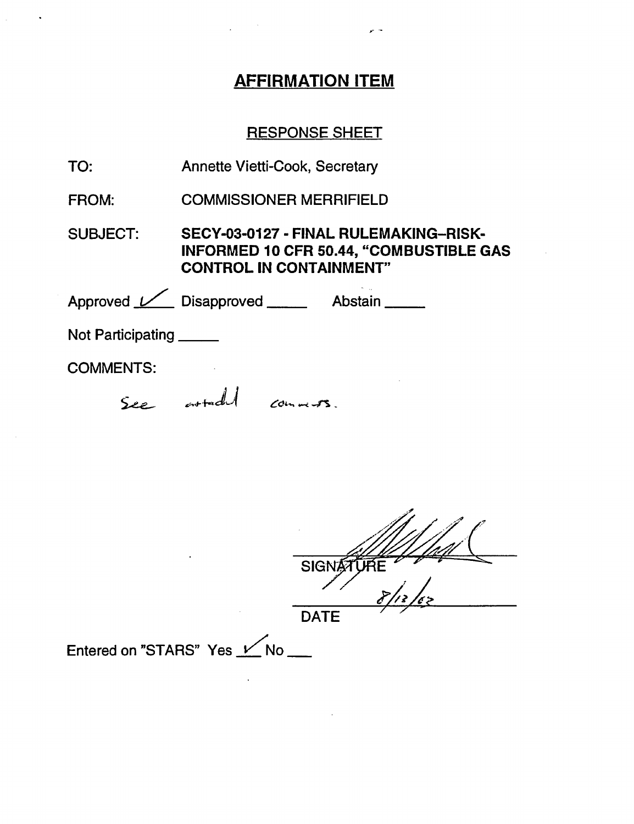# **AFFIRMATION ITEM**

 $\sim$   $\sim$ 

 $\sqrt{1-\frac{1}{2}}$ 

# RESPONSE SHEET

| TO:                      | Annette Vietti-Cook, Secretary                                                                                            |  |  |  |
|--------------------------|---------------------------------------------------------------------------------------------------------------------------|--|--|--|
| <b>FROM:</b>             | <b>COMMISSIONER MERRIFIELD</b>                                                                                            |  |  |  |
| <b>SUBJECT:</b>          | SECY-03-0127 - FINAL RULEMAKING-RISK-<br><b>INFORMED 10 CFR 50.44, "COMBUSTIBLE GAS</b><br><b>CONTROL IN CONTAINMENT"</b> |  |  |  |
|                          | Approved <u>Land Disapproved</u> ______ Abstain ______                                                                    |  |  |  |
| Not Participating ______ |                                                                                                                           |  |  |  |
| <b>COMMENTS:</b>         |                                                                                                                           |  |  |  |
|                          | See article comments.                                                                                                     |  |  |  |
|                          |                                                                                                                           |  |  |  |

| $\bullet$                   | <b>SIGN</b> |
|-----------------------------|-------------|
|                             |             |
|                             | <b>DATE</b> |
| Entered on "STARS" Yes V No |             |

 $\mathcal{L}^{\mathcal{L}}(\mathcal{L}^{\mathcal{L}}(\mathcal{L}^{\mathcal{L}}(\mathcal{L}^{\mathcal{L}}(\mathcal{L}^{\mathcal{L}}(\mathcal{L}^{\mathcal{L}}(\mathcal{L}^{\mathcal{L}}(\mathcal{L}^{\mathcal{L}}(\mathcal{L}^{\mathcal{L}}(\mathcal{L}^{\mathcal{L}}(\mathcal{L}^{\mathcal{L}}(\mathcal{L}^{\mathcal{L}}(\mathcal{L}^{\mathcal{L}}(\mathcal{L}^{\mathcal{L}}(\mathcal{L}^{\mathcal{L}}(\mathcal{L}^{\mathcal{L}}(\mathcal{L}^{\mathcal{L$ 

 $\sim 10$